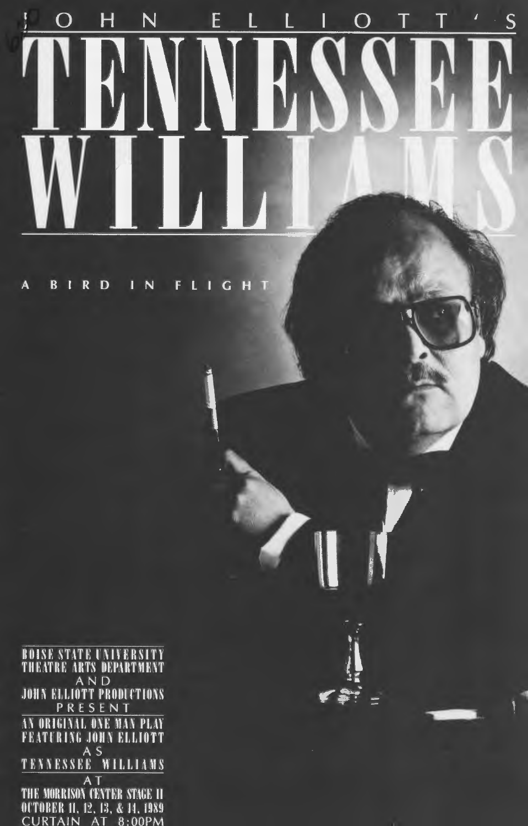#### $\overline{H}$ E L Ť ĩ N L T Ś  $\Omega$ I  $\Omega$

 $\equiv$ 

**BIRD**  $\overline{N}$ FLIGHT  $\mathbf{A}$ 

**BOISE STATE UNIVERSITY<br>THEATRE ARTS DEPARTMENT<br>JOHN ELLIOTT PRODUCTIONS** PRESENT AN ORIGINAL ONE MAN PLAY **FEATURING JOHN ELLIOTT**  $A S$ TENNESSEE WILLIAMS A<sub>T</sub> THE MORRISON CENTER STAGE II OCTOBER 11, 12, 13, & 14, 1989 CURTAIN AT 8:00PM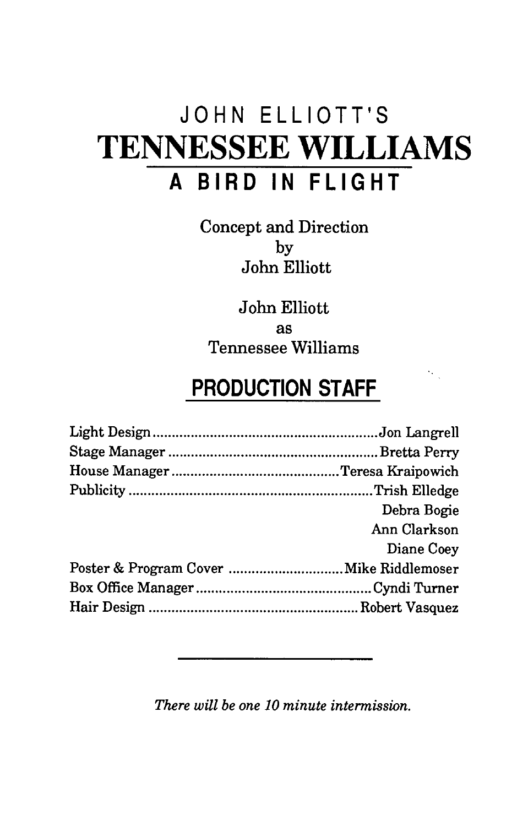# **JOHN ELLIOTT'S TENNESSEE WILLIAMS A BIRD IN FLIGHT**

Concept and Direction by John Elliott

John Elliott as Tennessee Williams

## **PRODUCTION STAFF**

 $\mathcal{A}_{\mathcal{A}}$ 

| Debra Bogie  |
|--------------|
| Ann Clarkson |
| Diane Coey   |
|              |
|              |
|              |

*There will be one 10 minute intermission.*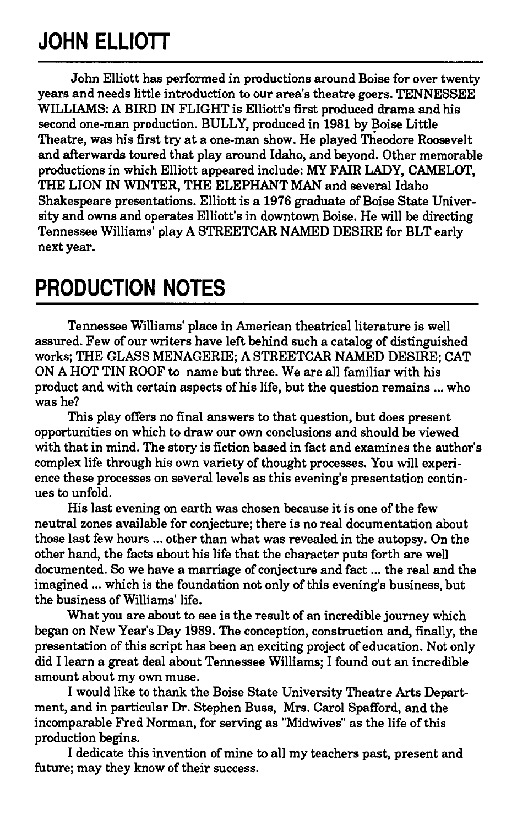## **JOHN ELLIOTT**

John Elliott has performed in productions around Boise for over twenty years and needs little introduction to our area's theatre goers. TENNESSEE WILLIAMS: A BIRD IN FLIGHT is Elliott's first produced drama and his second one-man production. BULLY, produced in 1981 by Boise Little Theatre, was his first try at a one-man show. He played Theodore Roosevelt and afterwards toured that play around Idaho, and beyond. Other memorable productions in which Elliott appeared include: MY FAIR LADY, CAMELOT, THE LION IN WINTER, THE ELEPHANT MAN and several Idaho Shakespeare presentations. Elliott is a 1976 graduate of Boise State University and owns and operates Elliott's in downtown Boise. He will be directing Tennessee Williams' play A STREETCAR NAMED DESIRE for BLT early next year.

### **PRODUCTION NOTES**

Tennessee Williams' place in American theatrical literature is well assured. Few of our writers have left behind such a catalog of distinguished works; THE GLASS MENAGERIE; A STREETCAR NAMED DESIRE; CAT ON A HOT TIN ROOF to name but three. We are all familiar with his product and with certain aspects of his life, but the question remains ... who was he?

This play offers no final answers to that question, but does present opportunities on which to draw our own conclusions and should be viewed with that in mind. The story is fiction based in fact and examines the author's complex life through his own variety of thought processes. You will experience these processes on several levels as this evening's presentation continues to unfold.

His last evening on earth was chosen because it is one of the few neutral zones available for conjecture; there is no real documentation about those last few hours ... other than what was revealed in the autopsy. On the other hand, the facts about his life that the character puts forth are well documented. So we have a marriage of conjecture and fact ... the real and the imagined ... which is the foundation not only of this evening's business, but the business of Williams' life.

What you are about to see is the result of an incredible journey which began on New Year's Day 1989. The conception, construction and, finally, the presentation of this script has been an exciting project of education. Not only did I learn a great deal about Tennessee Williams; I found out an incredible amount about my own muse.

I would like to thank the Boise State University Theatre Arts Department, and in particular Dr. Stephen Buss, Mrs. Carol Spafford, and the incomparable Fred Norman, for serving as "Midwives" as the life of this production begins.

I dedicate this invention of mine to all my teachers past, present and future; may they know of their success.